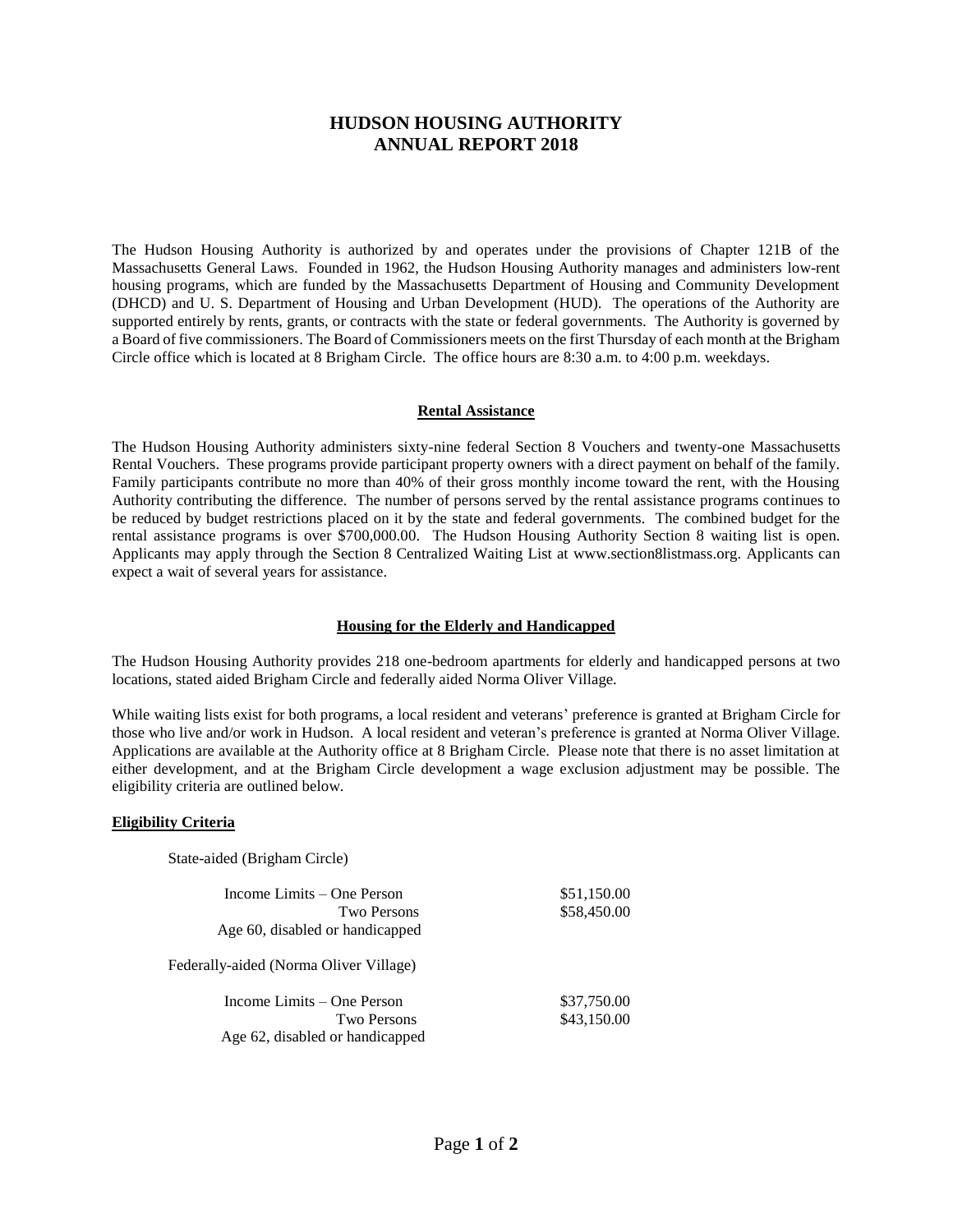# **HUDSON HOUSING AUTHORITY ANNUAL REPORT 2018**

The Hudson Housing Authority is authorized by and operates under the provisions of Chapter 121B of the Massachusetts General Laws. Founded in 1962, the Hudson Housing Authority manages and administers low-rent housing programs, which are funded by the Massachusetts Department of Housing and Community Development (DHCD) and U. S. Department of Housing and Urban Development (HUD). The operations of the Authority are supported entirely by rents, grants, or contracts with the state or federal governments. The Authority is governed by a Board of five commissioners. The Board of Commissioners meets on the first Thursday of each month at the Brigham Circle office which is located at 8 Brigham Circle. The office hours are 8:30 a.m. to 4:00 p.m. weekdays.

#### **Rental Assistance**

The Hudson Housing Authority administers sixty-nine federal Section 8 Vouchers and twenty-one Massachusetts Rental Vouchers. These programs provide participant property owners with a direct payment on behalf of the family. Family participants contribute no more than 40% of their gross monthly income toward the rent, with the Housing Authority contributing the difference. The number of persons served by the rental assistance programs continues to be reduced by budget restrictions placed on it by the state and federal governments. The combined budget for the rental assistance programs is over \$700,000.00. The Hudson Housing Authority Section 8 waiting list is open. Applicants may apply through the Section 8 Centralized Waiting List at www.section8listmass.org. Applicants can expect a wait of several years for assistance.

#### **Housing for the Elderly and Handicapped**

The Hudson Housing Authority provides 218 one-bedroom apartments for elderly and handicapped persons at two locations, stated aided Brigham Circle and federally aided Norma Oliver Village.

While waiting lists exist for both programs, a local resident and veterans' preference is granted at Brigham Circle for those who live and/or work in Hudson. A local resident and veteran's preference is granted at Norma Oliver Village. Applications are available at the Authority office at 8 Brigham Circle. Please note that there is no asset limitation at either development, and at the Brigham Circle development a wage exclusion adjustment may be possible. The eligibility criteria are outlined below.

#### **Eligibility Criteria**

State-aided (Brigham Circle)

| Income Limits – One Person             | \$51,150.00 |  |
|----------------------------------------|-------------|--|
| <b>Two Persons</b>                     | \$58,450.00 |  |
| Age 60, disabled or handicapped        |             |  |
| Federally-aided (Norma Oliver Village) |             |  |
| Income Limits – One Person             | \$37,750.00 |  |
| <b>Two Persons</b>                     | \$43,150.00 |  |
| Age 62, disabled or handicapped        |             |  |